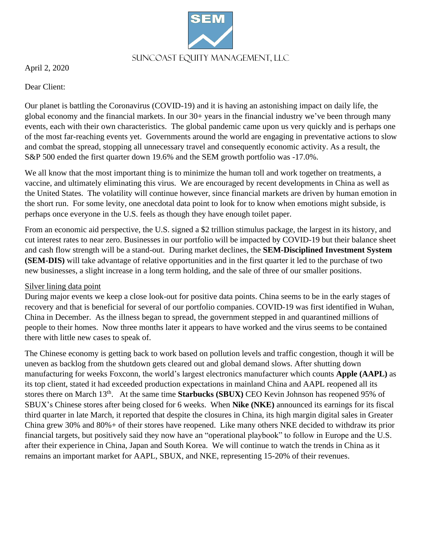Suncoast Equity Management, LLC

April 2, 2020

Dear Client:

Our planet is battling the Coronavirus (COVID-19) and it is having an astonishing impact on daily life, the global economy and the financial markets. In our 30+ years in the financial industry we've been through many events, each with their own characteristics. The global pandemic came upon us very quickly and is perhaps one of the most far-reaching events yet. Governments around the world are engaging in preventative actions to slow and combat the spread, stopping all unnecessary travel and consequently economic activity. As a result, the S&P 500 ended the first quarter down 19.6% and the SEM growth portfolio was -17.0%.

We all know that the most important thing is to minimize the human toll and work together on treatments, a vaccine, and ultimately eliminating this virus. We are encouraged by recent developments in China as well as the United States. The volatility will continue however, since financial markets are driven by human emotion in the short run. For some levity, one anecdotal data point to look for to know when emotions might subside, is perhaps once everyone in the U.S. feels as though they have enough toilet paper.

From an economic aid perspective, the U.S. signed a \$2 trillion stimulus package, the largest in its history, and cut interest rates to near zero. Businesses in our portfolio will be impacted by COVID-19 but their balance sheet and cash flow strength will be a stand-out. During market declines, the **SEM-Disciplined Investment System (SEM-DIS)** will take advantage of relative opportunities and in the first quarter it led to the purchase of two new businesses, a slight increase in a long term holding, and the sale of three of our smaller positions.

## Silver lining data point

During major events we keep a close look-out for positive data points. China seems to be in the early stages of recovery and that is beneficial for several of our portfolio companies. COVID-19 was first identified in Wuhan, China in December. As the illness began to spread, the government stepped in and quarantined millions of people to their homes. Now three months later it appears to have worked and the virus seems to be contained there with little new cases to speak of.

The Chinese economy is getting back to work based on pollution levels and traffic congestion, though it will be uneven as backlog from the shutdown gets cleared out and global demand slows. After shutting down manufacturing for weeks Foxconn, the world's largest electronics manufacturer which counts **Apple (AAPL)** as its top client, stated it had exceeded production expectations in mainland China and AAPL reopened all its stores there on March 13th . At the same time **Starbucks (SBUX)** CEO Kevin Johnson has reopened 95% of SBUX's Chinese stores after being closed for 6 weeks. When **Nike (NKE)** announced its earnings for its fiscal third quarter in late March, it reported that despite the closures in China, its high margin digital sales in Greater China grew 30% and 80%+ of their stores have reopened. Like many others NKE decided to withdraw its prior financial targets, but positively said they now have an "operational playbook" to follow in Europe and the U.S. after their experience in China, Japan and South Korea. We will continue to watch the trends in China as it remains an important market for AAPL, SBUX, and NKE, representing 15-20% of their revenues.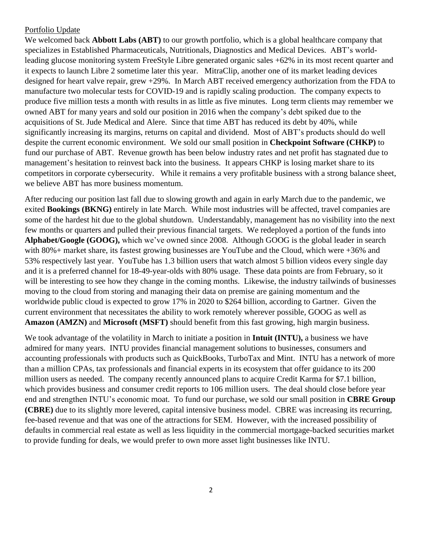#### Portfolio Update

We welcomed back **Abbott Labs (ABT)** to our growth portfolio, which is a global healthcare company that specializes in Established Pharmaceuticals, Nutritionals, Diagnostics and Medical Devices. ABT's worldleading glucose monitoring system FreeStyle Libre generated organic sales +62% in its most recent quarter and it expects to launch Libre 2 sometime later this year. MitraClip, another one of its market leading devices designed for heart valve repair, grew +29%. In March ABT received emergency authorization from the FDA to manufacture two molecular tests for COVID-19 and is rapidly scaling production. The company expects to produce five million tests a month with results in as little as five minutes. Long term clients may remember we owned ABT for many years and sold our position in 2016 when the company's debt spiked due to the acquisitions of St. Jude Medical and Alere. Since that time ABT has reduced its debt by 40%, while significantly increasing its margins, returns on capital and dividend. Most of ABT's products should do well despite the current economic environment. We sold our small position in **Checkpoint Software (CHKP)** to fund our purchase of ABT. Revenue growth has been below industry rates and net profit has stagnated due to management's hesitation to reinvest back into the business. It appears CHKP is losing market share to its competitors in corporate cybersecurity. While it remains a very profitable business with a strong balance sheet, we believe ABT has more business momentum.

After reducing our position last fall due to slowing growth and again in early March due to the pandemic, we exited **Bookings (BKNG)** entirely in late March. While most industries will be affected, travel companies are some of the hardest hit due to the global shutdown. Understandably, management has no visibility into the next few months or quarters and pulled their previous financial targets. We redeployed a portion of the funds into **Alphabet/Google (GOOG),** which we've owned since 2008. Although GOOG is the global leader in search with 80%+ market share, its fastest growing businesses are YouTube and the Cloud, which were +36% and 53% respectively last year. YouTube has 1.3 billion users that watch almost 5 billion videos every single day and it is a preferred channel for 18-49-year-olds with 80% usage. These data points are from February, so it will be interesting to see how they change in the coming months. Likewise, the industry tailwinds of businesses moving to the cloud from storing and managing their data on premise are gaining momentum and the worldwide public cloud is expected to grow 17% in 2020 to \$264 billion, according to Gartner. Given the current environment that necessitates the ability to work remotely wherever possible, GOOG as well as **Amazon (AMZN)** and **Microsoft (MSFT)** should benefit from this fast growing, high margin business.

We took advantage of the volatility in March to initiate a position in **Intuit (INTU),** a business we have admired for many years. INTU provides financial management solutions to businesses, consumers and accounting professionals with products such as QuickBooks, TurboTax and Mint. INTU has a network of more than a million CPAs, tax professionals and financial experts in its ecosystem that offer guidance to its 200 million users as needed. The company recently announced plans to acquire Credit Karma for \$7.1 billion, which provides business and consumer credit reports to 106 million users. The deal should close before year end and strengthen INTU's economic moat. To fund our purchase, we sold our small position in **CBRE Group (CBRE)** due to its slightly more levered, capital intensive business model. CBRE was increasing its recurring, fee-based revenue and that was one of the attractions for SEM. However, with the increased possibility of defaults in commercial real estate as well as less liquidity in the commercial mortgage-backed securities market to provide funding for deals, we would prefer to own more asset light businesses like INTU.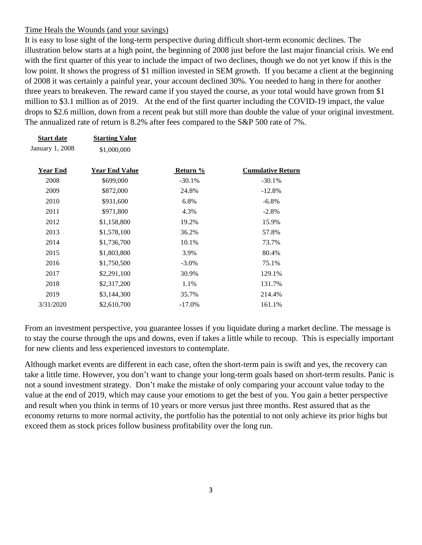## Time Heals the Wounds (and your savings)

**Start date Starting Value**

It is easy to lose sight of the long-term perspective during difficult short-term economic declines. The illustration below starts at a high point, the beginning of 2008 just before the last major financial crisis. We end with the first quarter of this year to include the impact of two declines, though we do not yet know if this is the low point. It shows the progress of \$1 million invested in SEM growth. If you became a client at the beginning of 2008 it was certainly a painful year, your account declined 30%. You needed to hang in there for another three years to breakeven. The reward came if you stayed the course, as your total would have grown from \$1 million to \$3.1 million as of 2019. At the end of the first quarter including the COVID-19 impact, the value drops to \$2.6 million, down from a recent peak but still more than double the value of your original investment. The annualized rate of return is 8.2% after fees compared to the S&P 500 rate of 7%.

| January 1, 2008 | \$1,000,000           |           |                          |
|-----------------|-----------------------|-----------|--------------------------|
| <b>Year End</b> | <b>Year End Value</b> | Return %  | <b>Cumulative Return</b> |
| 2008            | \$699,000             | $-30.1%$  | $-30.1%$                 |
| 2009            | \$872,000             | 24.8%     | $-12.8%$                 |
| 2010            | \$931,600             | 6.8%      | $-6.8\%$                 |
| 2011            | \$971,800             | 4.3%      | $-2.8%$                  |
| 2012            | \$1,158,800           | 19.2%     | 15.9%                    |
| 2013            | \$1,578,100           | 36.2%     | 57.8%                    |
| 2014            | \$1,736,700           | 10.1%     | 73.7%                    |
| 2015            | \$1,803,800           | 3.9%      | 80.4%                    |
| 2016            | \$1,750,500           | $-3.0\%$  | 75.1%                    |
| 2017            | \$2,291,100           | 30.9%     | 129.1%                   |
| 2018            | \$2,317,200           | 1.1%      | 131.7%                   |
| 2019            | \$3,144,300           | 35.7%     | 214.4%                   |
| 3/31/2020       | \$2,610,700           | $-17.0\%$ | 161.1%                   |

From an investment perspective, you guarantee losses if you liquidate during a market decline. The message is to stay the course through the ups and downs, even if takes a little while to recoup. This is especially important for new clients and less experienced investors to contemplate.

Although market events are different in each case, often the short-term pain is swift and yes, the recovery can take a little time. However, you don't want to change your long-term goals based on short-term results. Panic is not a sound investment strategy. Don't make the mistake of only comparing your account value today to the value at the end of 2019, which may cause your emotions to get the best of you. You gain a better perspective and result when you think in terms of 10 years or more versus just three months. Rest assured that as the economy returns to more normal activity, the portfolio has the potential to not only achieve its prior highs but exceed them as stock prices follow business profitability over the long run.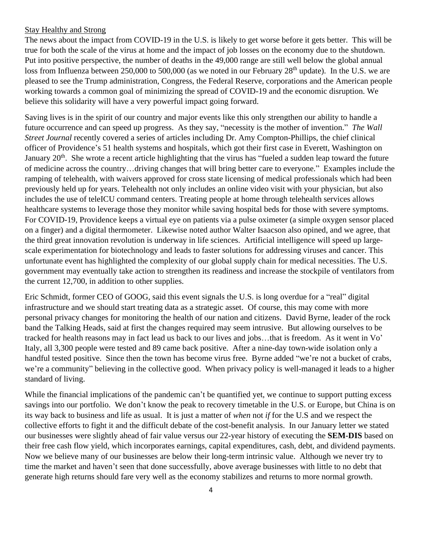#### Stay Healthy and Strong

The news about the impact from COVID-19 in the U.S. is likely to get worse before it gets better. This will be true for both the scale of the virus at home and the impact of job losses on the economy due to the shutdown. Put into positive perspective, the number of deaths in the 49,000 range are still well below the global annual loss from Influenza between 250,000 to 500,000 (as we noted in our February  $28<sup>th</sup>$  update). In the U.S. we are pleased to see the Trump administration, Congress, the Federal Reserve, corporations and the American people working towards a common goal of minimizing the spread of COVID-19 and the economic disruption. We believe this solidarity will have a very powerful impact going forward.

Saving lives is in the spirit of our country and major events like this only strengthen our ability to handle a future occurrence and can speed up progress. As they say, "necessity is the mother of invention." *The Wall Street Journal* recently covered a series of articles including Dr. Amy Compton-Phillips, the chief clinical officer of Providence's 51 health systems and hospitals, which got their first case in Everett, Washington on January 20<sup>th</sup>. She wrote a recent article highlighting that the virus has "fueled a sudden leap toward the future of medicine across the country…driving changes that will bring better care to everyone." Examples include the ramping of telehealth, with waivers approved for cross state licensing of medical professionals which had been previously held up for years. Telehealth not only includes an online video visit with your physician, but also includes the use of teleICU command centers. Treating people at home through telehealth services allows healthcare systems to leverage those they monitor while saving hospital beds for those with severe symptoms. For COVID-19, Providence keeps a virtual eye on patients via a pulse oximeter (a simple oxygen sensor placed on a finger) and a digital thermometer. Likewise noted author Walter Isaacson also opined, and we agree, that the third great innovation revolution is underway in life sciences. Artificial intelligence will speed up largescale experimentation for biotechnology and leads to faster solutions for addressing viruses and cancer. This unfortunate event has highlighted the complexity of our global supply chain for medical necessities. The U.S. government may eventually take action to strengthen its readiness and increase the stockpile of ventilators from the current 12,700, in addition to other supplies.

Eric Schmidt, former CEO of GOOG, said this event signals the U.S. is long overdue for a "real" digital infrastructure and we should start treating data as a strategic asset. Of course, this may come with more personal privacy changes for monitoring the health of our nation and citizens. David Byrne, leader of the rock band the Talking Heads, said at first the changes required may seem intrusive. But allowing ourselves to be tracked for health reasons may in fact lead us back to our lives and jobs…that is freedom. As it went in Vo' Italy, all 3,300 people were tested and 89 came back positive. After a nine-day town-wide isolation only a handful tested positive. Since then the town has become virus free. Byrne added "we're not a bucket of crabs, we're a community" believing in the collective good. When privacy policy is well-managed it leads to a higher standard of living.

While the financial implications of the pandemic can't be quantified yet, we continue to support putting excess savings into our portfolio. We don't know the peak to recovery timetable in the U.S. or Europe, but China is on its way back to business and life as usual. It is just a matter of *when* not *if* for the U.S and we respect the collective efforts to fight it and the difficult debate of the cost-benefit analysis. In our January letter we stated our businesses were slightly ahead of fair value versus our 22-year history of executing the **SEM-DIS** based on their free cash flow yield, which incorporates earnings, capital expenditures, cash, debt, and dividend payments. Now we believe many of our businesses are below their long-term intrinsic value. Although we never try to time the market and haven't seen that done successfully, above average businesses with little to no debt that generate high returns should fare very well as the economy stabilizes and returns to more normal growth.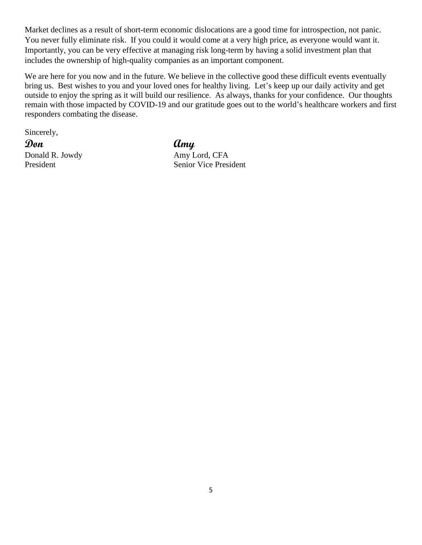Market declines as a result of short-term economic dislocations are a good time for introspection, not panic. You never fully eliminate risk. If you could it would come at a very high price, as everyone would want it. Importantly, you can be very effective at managing risk long-term by having a solid investment plan that includes the ownership of high-quality companies as an important component.

We are here for you now and in the future. We believe in the collective good these difficult events eventually bring us. Best wishes to you and your loved ones for healthy living. Let's keep up our daily activity and get outside to enjoy the spring as it will build our resilience. As always, thanks for your confidence. Our thoughts remain with those impacted by COVID-19 and our gratitude goes out to the world's healthcare workers and first responders combating the disease.

Sincerely,

**Don Amy**

Donald R. Jowdy Amy Lord, CFA President Senior Vice President